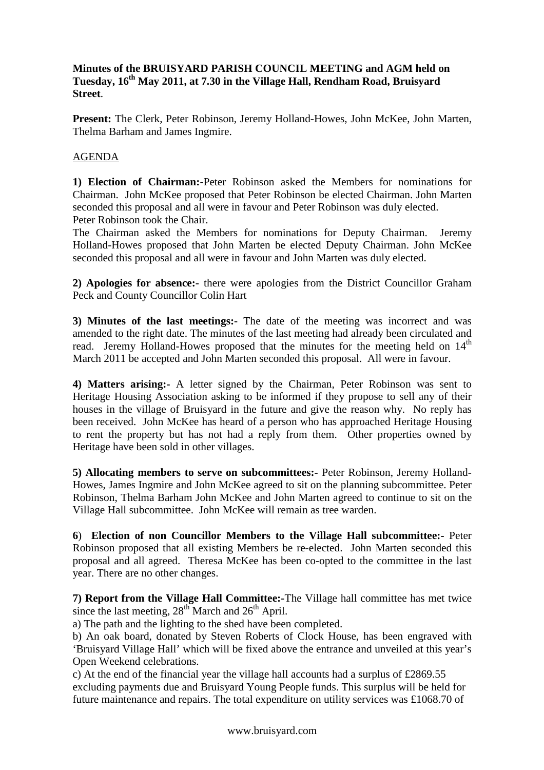## **Minutes of the BRUISYARD PARISH COUNCIL MEETING and AGM held on Tuesday, 16th May 2011, at 7.30 in the Village Hall, Rendham Road, Bruisyard Street**.

**Present:** The Clerk, Peter Robinson, Jeremy Holland-Howes, John McKee, John Marten, Thelma Barham and James Ingmire.

## AGENDA

**1) Election of Chairman:-**Peter Robinson asked the Members for nominations for Chairman. John McKee proposed that Peter Robinson be elected Chairman. John Marten seconded this proposal and all were in favour and Peter Robinson was duly elected. Peter Robinson took the Chair.

The Chairman asked the Members for nominations for Deputy Chairman. Jeremy Holland-Howes proposed that John Marten be elected Deputy Chairman. John McKee seconded this proposal and all were in favour and John Marten was duly elected.

**2) Apologies for absence:-** there were apologies from the District Councillor Graham Peck and County Councillor Colin Hart

**3) Minutes of the last meetings:-** The date of the meeting was incorrect and was amended to the right date. The minutes of the last meeting had already been circulated and read. Jeremy Holland-Howes proposed that the minutes for the meeting held on  $14<sup>th</sup>$ March 2011 be accepted and John Marten seconded this proposal. All were in favour.

**4) Matters arising:-** A letter signed by the Chairman, Peter Robinson was sent to Heritage Housing Association asking to be informed if they propose to sell any of their houses in the village of Bruisyard in the future and give the reason why. No reply has been received. John McKee has heard of a person who has approached Heritage Housing to rent the property but has not had a reply from them. Other properties owned by Heritage have been sold in other villages.

**5) Allocating members to serve on subcommittees:-** Peter Robinson, Jeremy Holland-Howes, James Ingmire and John McKee agreed to sit on the planning subcommittee. Peter Robinson, Thelma Barham John McKee and John Marten agreed to continue to sit on the Village Hall subcommittee. John McKee will remain as tree warden.

**6**) **Election of non Councillor Members to the Village Hall subcommittee:-** Peter Robinson proposed that all existing Members be re-elected. John Marten seconded this proposal and all agreed. Theresa McKee has been co-opted to the committee in the last year. There are no other changes.

**7) Report from the Village Hall Committee:-**The Village hall committee has met twice since the last meeting,  $28^{th}$  March and  $26^{th}$  April.

a) The path and the lighting to the shed have been completed.

b) An oak board, donated by Steven Roberts of Clock House, has been engraved with 'Bruisyard Village Hall' which will be fixed above the entrance and unveiled at this year's Open Weekend celebrations.

c) At the end of the financial year the village hall accounts had a surplus of £2869.55 excluding payments due and Bruisyard Young People funds. This surplus will be held for future maintenance and repairs. The total expenditure on utility services was £1068.70 of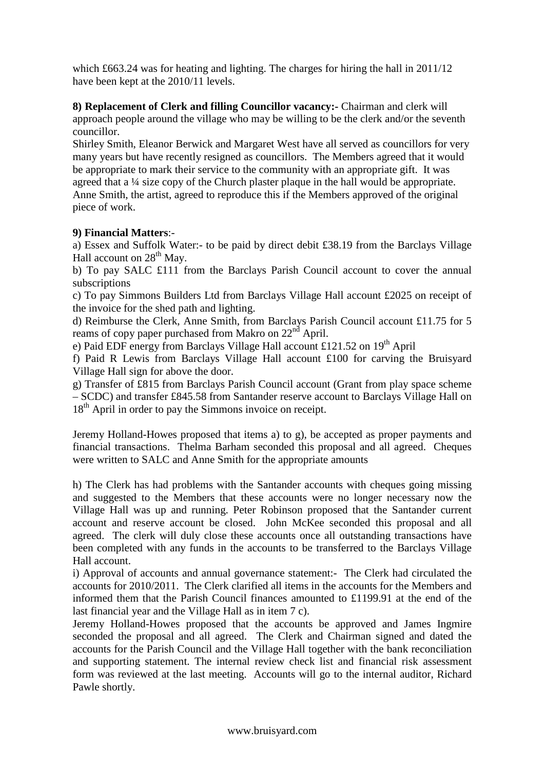which £663.24 was for heating and lighting. The charges for hiring the hall in 2011/12 have been kept at the 2010/11 levels.

**8) Replacement of Clerk and filling Councillor vacancy:-** Chairman and clerk will approach people around the village who may be willing to be the clerk and/or the seventh councillor.

Shirley Smith, Eleanor Berwick and Margaret West have all served as councillors for very many years but have recently resigned as councillors. The Members agreed that it would be appropriate to mark their service to the community with an appropriate gift. It was agreed that a ¼ size copy of the Church plaster plaque in the hall would be appropriate. Anne Smith, the artist, agreed to reproduce this if the Members approved of the original piece of work.

## **9) Financial Matters**:-

a) Essex and Suffolk Water:- to be paid by direct debit £38.19 from the Barclays Village Hall account on  $28<sup>th</sup>$  May.

b) To pay SALC £111 from the Barclays Parish Council account to cover the annual subscriptions

c) To pay Simmons Builders Ltd from Barclays Village Hall account £2025 on receipt of the invoice for the shed path and lighting.

d) Reimburse the Clerk, Anne Smith, from Barclays Parish Council account £11.75 for 5 reams of copy paper purchased from Makro on  $22<sup>nd</sup>$  April.

e) Paid EDF energy from Barclays Village Hall account £121.52 on 19<sup>th</sup> April

f) Paid R Lewis from Barclays Village Hall account £100 for carving the Bruisyard Village Hall sign for above the door.

g) Transfer of £815 from Barclays Parish Council account (Grant from play space scheme – SCDC) and transfer £845.58 from Santander reserve account to Barclays Village Hall on 18<sup>th</sup> April in order to pay the Simmons invoice on receipt.

Jeremy Holland-Howes proposed that items a) to g), be accepted as proper payments and financial transactions. Thelma Barham seconded this proposal and all agreed. Cheques were written to SALC and Anne Smith for the appropriate amounts

h) The Clerk has had problems with the Santander accounts with cheques going missing and suggested to the Members that these accounts were no longer necessary now the Village Hall was up and running. Peter Robinson proposed that the Santander current account and reserve account be closed. John McKee seconded this proposal and all agreed. The clerk will duly close these accounts once all outstanding transactions have been completed with any funds in the accounts to be transferred to the Barclays Village Hall account.

i) Approval of accounts and annual governance statement:- The Clerk had circulated the accounts for 2010/2011. The Clerk clarified all items in the accounts for the Members and informed them that the Parish Council finances amounted to £1199.91 at the end of the last financial year and the Village Hall as in item 7 c).

Jeremy Holland-Howes proposed that the accounts be approved and James Ingmire seconded the proposal and all agreed. The Clerk and Chairman signed and dated the accounts for the Parish Council and the Village Hall together with the bank reconciliation and supporting statement. The internal review check list and financial risk assessment form was reviewed at the last meeting. Accounts will go to the internal auditor, Richard Pawle shortly.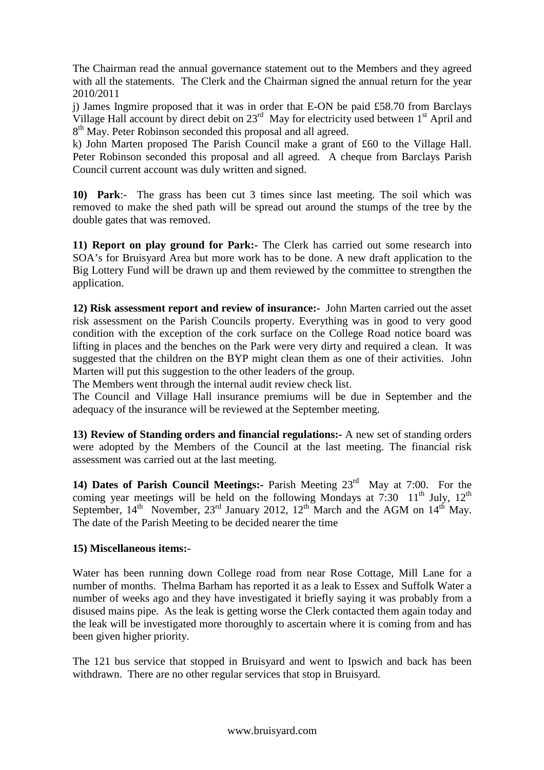The Chairman read the annual governance statement out to the Members and they agreed with all the statements. The Clerk and the Chairman signed the annual return for the year 2010/2011

j) James Ingmire proposed that it was in order that E-ON be paid £58.70 from Barclays Village Hall account by direct debit on  $23<sup>rd</sup>$  May for electricity used between  $1<sup>st</sup>$  April and  $8<sup>th</sup>$  May. Peter Robinson seconded this proposal and all agreed.

k) John Marten proposed The Parish Council make a grant of £60 to the Village Hall. Peter Robinson seconded this proposal and all agreed. A cheque from Barclays Parish Council current account was duly written and signed.

**10) Park**:- The grass has been cut 3 times since last meeting. The soil which was removed to make the shed path will be spread out around the stumps of the tree by the double gates that was removed.

**11) Report on play ground for Park:-** The Clerk has carried out some research into SOA's for Bruisyard Area but more work has to be done. A new draft application to the Big Lottery Fund will be drawn up and them reviewed by the committee to strengthen the application.

**12) Risk assessment report and review of insurance:-** John Marten carried out the asset risk assessment on the Parish Councils property. Everything was in good to very good condition with the exception of the cork surface on the College Road notice board was lifting in places and the benches on the Park were very dirty and required a clean. It was suggested that the children on the BYP might clean them as one of their activities. John Marten will put this suggestion to the other leaders of the group.

The Members went through the internal audit review check list.

The Council and Village Hall insurance premiums will be due in September and the adequacy of the insurance will be reviewed at the September meeting.

**13) Review of Standing orders and financial regulations:-** A new set of standing orders were adopted by the Members of the Council at the last meeting. The financial risk assessment was carried out at the last meeting.

**14) Dates of Parish Council Meetings:-** Parish Meeting 23rd May at 7:00. For the coming year meetings will be held on the following Mondays at 7:30  $11<sup>th</sup>$  July,  $12<sup>th</sup>$ September,  $14<sup>th</sup>$  November,  $23<sup>rd</sup>$  January 2012,  $12<sup>th</sup>$  March and the AGM on  $14<sup>th</sup>$  May. The date of the Parish Meeting to be decided nearer the time

## **15) Miscellaneous items:-**

Water has been running down College road from near Rose Cottage, Mill Lane for a number of months. Thelma Barham has reported it as a leak to Essex and Suffolk Water a number of weeks ago and they have investigated it briefly saying it was probably from a disused mains pipe. As the leak is getting worse the Clerk contacted them again today and the leak will be investigated more thoroughly to ascertain where it is coming from and has been given higher priority.

The 121 bus service that stopped in Bruisyard and went to Ipswich and back has been withdrawn. There are no other regular services that stop in Bruisyard.